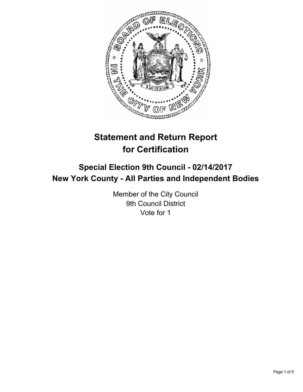

# **Statement and Return Report for Certification**

# **Special Election 9th Council - 02/14/2017 New York County - All Parties and Independent Bodies**

Member of the City Council 9th Council District Vote for 1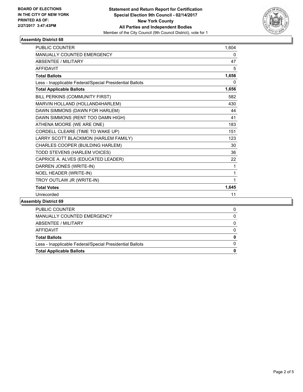

#### **Assembly District 68**

| <b>PUBLIC COUNTER</b>                                    | 1,604        |
|----------------------------------------------------------|--------------|
| MANUALLY COUNTED EMERGENCY                               | 0            |
| <b>ABSENTEE / MILITARY</b>                               | 47           |
| <b>AFFIDAVIT</b>                                         | 5            |
| <b>Total Ballots</b>                                     | 1,656        |
| Less - Inapplicable Federal/Special Presidential Ballots | 0            |
| <b>Total Applicable Ballots</b>                          | 1,656        |
| BILL PERKINS (COMMUNITY FIRST)                           | 582          |
| MARVIN HOLLAND (HOLLAND4HARLEM)                          | 430          |
| DAWN SIMMONS (DAWN FOR HARLEM)                           | 44           |
| DAWN SIMMONS (RENT TOO DAMN HIGH)                        | 41           |
| ATHENA MOORE (WE ARE ONE)                                | 183          |
| CORDELL CLEARE (TIME TO WAKE UP)                         | 151          |
| LARRY SCOTT BLACKMON (HARLEM FAMILY)                     | 123          |
| CHARLES COOPER (BUILDING HARLEM)                         | 30           |
| TODD STEVENS (HARLEM VOICES)                             | 36           |
| CAPRICE A. ALVES (EDUCATED LEADER)                       | 22           |
| DARREN JONES (WRITE-IN)                                  | 1            |
| NOEL HEADER (WRITE-IN)                                   | 1            |
| TROY OUTLAW JR (WRITE-IN)                                | $\mathbf{1}$ |
| <b>Total Votes</b>                                       | 1,645        |
| Unrecorded                                               | 11           |
|                                                          |              |

#### **Assembly District 69**

| PUBLIC COUNTER                                           |  |
|----------------------------------------------------------|--|
| MANUALLY COUNTED EMERGENCY                               |  |
| ABSENTEE / MILITARY                                      |  |
| AFFIDAVIT                                                |  |
| <b>Total Ballots</b>                                     |  |
| Less - Inapplicable Federal/Special Presidential Ballots |  |
| <b>Total Applicable Ballots</b>                          |  |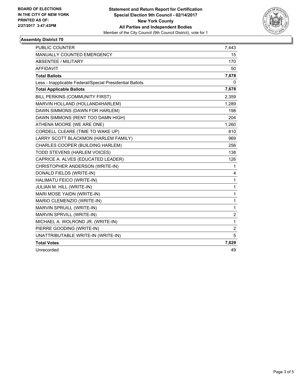

# **Assembly District 70**

| <b>PUBLIC COUNTER</b>                                    | 7,443                   |
|----------------------------------------------------------|-------------------------|
| <b>MANUALLY COUNTED EMERGENCY</b>                        | 15                      |
| ABSENTEE / MILITARY                                      | 170                     |
| <b>AFFIDAVIT</b>                                         | 50                      |
| <b>Total Ballots</b>                                     | 7,678                   |
| Less - Inapplicable Federal/Special Presidential Ballots | 0                       |
| <b>Total Applicable Ballots</b>                          | 7,678                   |
| BILL PERKINS (COMMUNITY FIRST)                           | 2,359                   |
| MARVIN HOLLAND (HOLLAND4HARLEM)                          | 1,289                   |
| DAWN SIMMONS (DAWN FOR HARLEM)                           | 198                     |
| DAWN SIMMONS (RENT TOO DAMN HIGH)                        | 204                     |
| ATHENA MOORE (WE ARE ONE)                                | 1,260                   |
| CORDELL CLEARE (TIME TO WAKE UP)                         | 810                     |
| LARRY SCOTT BLACKMON (HARLEM FAMILY)                     | 969                     |
| CHARLES COOPER (BUILDING HARLEM)                         | 256                     |
| TODD STEVENS (HARLEM VOICES)                             | 138                     |
| CAPRICE A. ALVES (EDUCATED LEADER)                       | 126                     |
| CHRISTOPHER ANDERSON (WRITE-IN)                          | 1                       |
| DONALD FIELDS (WRITE-IN)                                 | 4                       |
| HALIMATU FEICO (WRITE-IN)                                | 1                       |
| JULIAN M. HILL (WRITE-IN)                                | 1                       |
| MARI MOSE YAIDN (WRITE-IN)                               | 1                       |
| MARIO CLEMENZIO (WRITE-IN)                               | $\mathbf{1}$            |
| MARVIN SPRUILL (WRITE-IN)                                | 1                       |
| MARVIN SPRVILL (WRITE-IN)                                | $\overline{\mathbf{c}}$ |
| MICHAEL A. WOLROND JR. (WRITE-IN)                        | 1                       |
| PIERRE GOODING (WRITE-IN)                                | $\overline{c}$          |
| UNATTRIBUTABLE WRITE-IN (WRITE-IN)                       | 5                       |
| <b>Total Votes</b>                                       | 7,629                   |
| Unrecorded                                               | 49                      |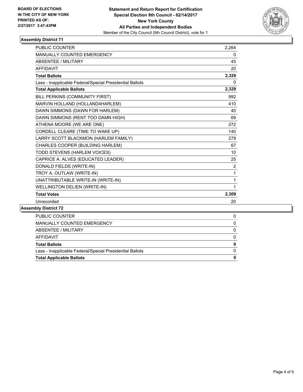

# **Assembly District 71**

| <b>PUBLIC COUNTER</b>                                    | 2,264          |
|----------------------------------------------------------|----------------|
| <b>MANUALLY COUNTED EMERGENCY</b>                        | 0              |
| <b>ABSENTEE / MILITARY</b>                               | 45             |
| <b>AFFIDAVIT</b>                                         | 20             |
| <b>Total Ballots</b>                                     | 2,329          |
| Less - Inapplicable Federal/Special Presidential Ballots | 0              |
| <b>Total Applicable Ballots</b>                          | 2,329          |
| BILL PERKINS (COMMUNITY FIRST)                           | 992            |
| MARVIN HOLLAND (HOLLAND4HARLEM)                          | 410            |
| DAWN SIMMONS (DAWN FOR HARLEM)                           | 40             |
| DAWN SIMMONS (RENT TOO DAMN HIGH)                        | 69             |
| ATHENA MOORE (WE ARE ONE)                                | 272            |
| CORDELL CLEARE (TIME TO WAKE UP)                         | 140            |
| LARRY SCOTT BLACKMON (HARLEM FAMILY)                     | 279            |
| CHARLES COOPER (BUILDING HARLEM)                         | 67             |
| TODD STEVENS (HARLEM VOICES)                             | 10             |
| CAPRICE A. ALVES (EDUCATED LEADER)                       | 25             |
| DONALD FIELDS (WRITE-IN)                                 | $\overline{2}$ |
| TROY A. OUTLAW (WRITE-IN)                                | 1              |
| UNATTRIBUTABLE WRITE-IN (WRITE-IN)                       | 1              |
| WELLINGTON DELIEN (WRITE-IN)                             | 1              |
| <b>Total Votes</b>                                       | 2,309          |
| Unrecorded                                               | 20             |
|                                                          |                |

## **Assembly District 72**

| <b>PUBLIC COUNTER</b>                                    |  |
|----------------------------------------------------------|--|
| MANUALLY COUNTED EMERGENCY                               |  |
| ABSENTEE / MILITARY                                      |  |
| AFFIDAVIT                                                |  |
| <b>Total Ballots</b>                                     |  |
| Less - Inapplicable Federal/Special Presidential Ballots |  |
| <b>Total Applicable Ballots</b>                          |  |